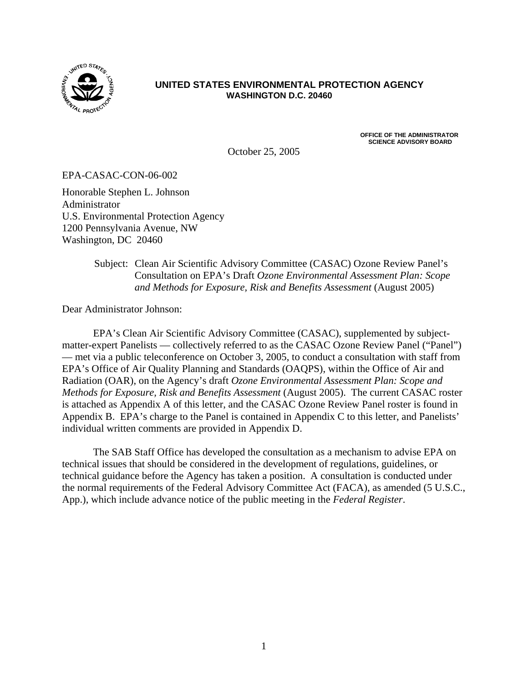

#### **UNITED STATES ENVIRONMENTAL PROTECTION AGENCY WASHINGTON D.C. 20460**

October 25, 2005

**OFFICE OF THE ADMINISTRATOR SCIENCE ADVISORY BOARD** 

EPA-CASAC-CON-06-002

Honorable Stephen L. Johnson Administrator U.S. Environmental Protection Agency 1200 Pennsylvania Avenue, NW Washington, DC 20460

> Subject: Clean Air Scientific Advisory Committee (CASAC) Ozone Review Panel's Consultation on EPA's Draft *Ozone Environmental Assessment Plan: Scope and Methods for Exposure, Risk and Benefits Assessment* (August 2005)

Dear Administrator Johnson:

EPA's Clean Air Scientific Advisory Committee (CASAC), supplemented by subjectmatter-expert Panelists — collectively referred to as the CASAC Ozone Review Panel ("Panel") — met via a public teleconference on October 3, 2005, to conduct a consultation with staff from EPA's Office of Air Quality Planning and Standards (OAQPS), within the Office of Air and Radiation (OAR), on the Agency's draft *Ozone Environmental Assessment Plan: Scope and Methods for Exposure, Risk and Benefits Assessment* (August 2005). The current CASAC roster is attached as Appendix A of this letter, and the CASAC Ozone Review Panel roster is found in Appendix B. EPA's charge to the Panel is contained in Appendix C to this letter, and Panelists' individual written comments are provided in Appendix D.

The SAB Staff Office has developed the consultation as a mechanism to advise EPA on technical issues that should be considered in the development of regulations, guidelines, or technical guidance before the Agency has taken a position. A consultation is conducted under the normal requirements of the Federal Advisory Committee Act (FACA), as amended (5 U.S.C., App.), which include advance notice of the public meeting in the *Federal Register*.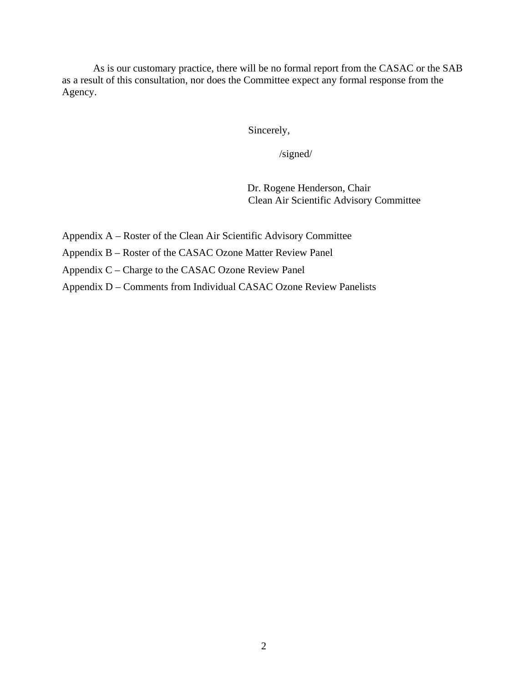As is our customary practice, there will be no formal report from the CASAC or the SAB as a result of this consultation, nor does the Committee expect any formal response from the Agency.

Sincerely,

/signed/

Dr. Rogene Henderson, Chair Clean Air Scientific Advisory Committee

- Appendix A Roster of the Clean Air Scientific Advisory Committee
- Appendix B Roster of the CASAC Ozone Matter Review Panel
- Appendix C Charge to the CASAC Ozone Review Panel
- Appendix D Comments from Individual CASAC Ozone Review Panelists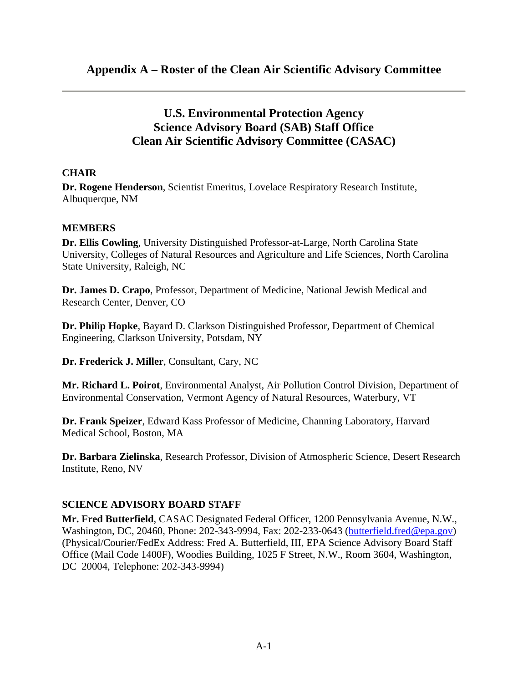# **U.S. Environmental Protection Agency Science Advisory Board (SAB) Staff Office Clean Air Scientific Advisory Committee (CASAC)**

# **CHAIR**

**Dr. Rogene Henderson**, Scientist Emeritus, Lovelace Respiratory Research Institute, Albuquerque, NM

### **MEMBERS**

**Dr. Ellis Cowling**, University Distinguished Professor-at-Large, North Carolina State University, Colleges of Natural Resources and Agriculture and Life Sciences, North Carolina State University, Raleigh, NC

**Dr. James D. Crapo**, Professor, Department of Medicine, National Jewish Medical and Research Center, Denver, CO

**Dr. Philip Hopke**, Bayard D. Clarkson Distinguished Professor, Department of Chemical Engineering, Clarkson University, Potsdam, NY

**Dr. Frederick J. Miller**, Consultant, Cary, NC

**Mr. Richard L. Poirot**, Environmental Analyst, Air Pollution Control Division, Department of Environmental Conservation, Vermont Agency of Natural Resources, Waterbury, VT

**Dr. Frank Speizer**, Edward Kass Professor of Medicine, Channing Laboratory, Harvard Medical School, Boston, MA

**Dr. Barbara Zielinska**, Research Professor, Division of Atmospheric Science, Desert Research Institute, Reno, NV

### **SCIENCE ADVISORY BOARD STAFF**

**Mr. Fred Butterfield**, CASAC Designated Federal Officer, 1200 Pennsylvania Avenue, N.W., Washington, DC, 20460, Phone: 202-343-9994, Fax: 202-233-0643 (butterfield.fred@epa.gov) (Physical/Courier/FedEx Address: Fred A. Butterfield, III, EPA Science Advisory Board Staff Office (Mail Code 1400F), Woodies Building, 1025 F Street, N.W., Room 3604, Washington, DC 20004, Telephone: 202-343-9994)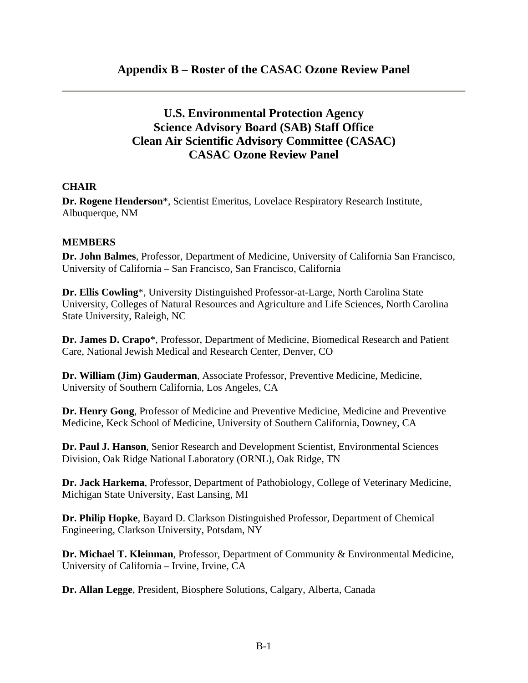# **U.S. Environmental Protection Agency Science Advisory Board (SAB) Staff Office Clean Air Scientific Advisory Committee (CASAC) CASAC Ozone Review Panel**

### **CHAIR**

**Dr. Rogene Henderson**\*, Scientist Emeritus, Lovelace Respiratory Research Institute, Albuquerque, NM

#### **MEMBERS**

**Dr. John Balmes**, Professor, Department of Medicine, University of California San Francisco, University of California – San Francisco, San Francisco, California

**Dr. Ellis Cowling**\*, University Distinguished Professor-at-Large, North Carolina State University, Colleges of Natural Resources and Agriculture and Life Sciences, North Carolina State University, Raleigh, NC

**Dr. James D. Crapo**\*, Professor, Department of Medicine, Biomedical Research and Patient Care, National Jewish Medical and Research Center, Denver, CO

**Dr. William (Jim) Gauderman**, Associate Professor, Preventive Medicine, Medicine, University of Southern California, Los Angeles, CA

**Dr. Henry Gong**, Professor of Medicine and Preventive Medicine, Medicine and Preventive Medicine, Keck School of Medicine, University of Southern California, Downey, CA

**Dr. Paul J. Hanson**, Senior Research and Development Scientist, Environmental Sciences Division, Oak Ridge National Laboratory (ORNL), Oak Ridge, TN

**Dr. Jack Harkema**, Professor, Department of Pathobiology, College of Veterinary Medicine, Michigan State University, East Lansing, MI

**Dr. Philip Hopke**, Bayard D. Clarkson Distinguished Professor, Department of Chemical Engineering, Clarkson University, Potsdam, NY

**Dr. Michael T. Kleinman**, Professor, Department of Community & Environmental Medicine, University of California – Irvine, Irvine, CA

**Dr. Allan Legge**, President, Biosphere Solutions, Calgary, Alberta, Canada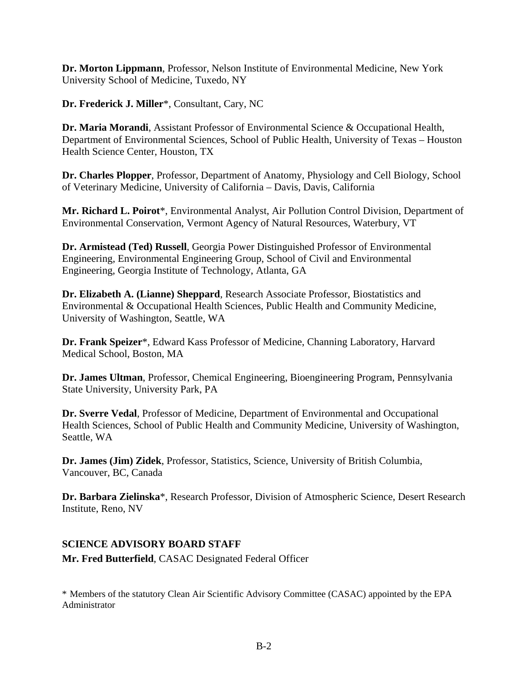**Dr. Morton Lippmann**, Professor, Nelson Institute of Environmental Medicine, New York University School of Medicine, Tuxedo, NY

**Dr. Frederick J. Miller**\*, Consultant, Cary, NC

**Dr. Maria Morandi**, Assistant Professor of Environmental Science & Occupational Health, Department of Environmental Sciences, School of Public Health, University of Texas – Houston Health Science Center, Houston, TX

**Dr. Charles Plopper**, Professor, Department of Anatomy, Physiology and Cell Biology, School of Veterinary Medicine, University of California – Davis, Davis, California

**Mr. Richard L. Poirot**\*, Environmental Analyst, Air Pollution Control Division, Department of Environmental Conservation, Vermont Agency of Natural Resources, Waterbury, VT

**Dr. Armistead (Ted) Russell**, Georgia Power Distinguished Professor of Environmental Engineering, Environmental Engineering Group, School of Civil and Environmental Engineering, Georgia Institute of Technology, Atlanta, GA

**Dr. Elizabeth A. (Lianne) Sheppard**, Research Associate Professor, Biostatistics and Environmental & Occupational Health Sciences, Public Health and Community Medicine, University of Washington, Seattle, WA

**Dr. Frank Speizer**\*, Edward Kass Professor of Medicine, Channing Laboratory, Harvard Medical School, Boston, MA

**Dr. James Ultman**, Professor, Chemical Engineering, Bioengineering Program, Pennsylvania State University, University Park, PA

**Dr. Sverre Vedal**, Professor of Medicine, Department of Environmental and Occupational Health Sciences, School of Public Health and Community Medicine, University of Washington, Seattle, WA

**Dr. James (Jim) Zidek**, Professor, Statistics, Science, University of British Columbia, Vancouver, BC, Canada

**Dr. Barbara Zielinska**\*, Research Professor, Division of Atmospheric Science, Desert Research Institute, Reno, NV

### **SCIENCE ADVISORY BOARD STAFF**

**Mr. Fred Butterfield**, CASAC Designated Federal Officer

\* Members of the statutory Clean Air Scientific Advisory Committee (CASAC) appointed by the EPA Administrator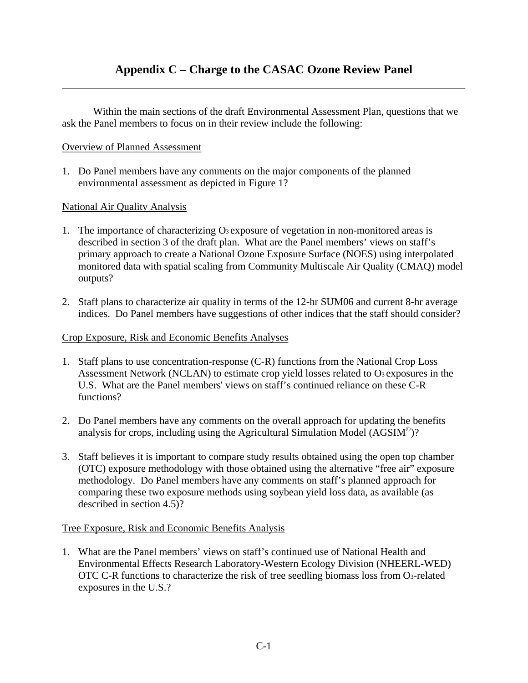Within the main sections of the draft Environmental Assessment Plan, questions that we ask the Panel members to focus on in their review include the following:

#### Overview of Planned Assessment

1. Do Panel members have any comments on the major components of the planned environmental assessment as depicted in Figure 1?

#### National Air Quality Analysis

- 1. The importance of characterizing  $\mathbf{O}_3$  exposure of vegetation in non-monitored areas is described in section 3 of the draft plan. What are the Panel members' views on staff's primary approach to create a National Ozone Exposure Surface (NOES) using interpolated monitored data with spatial scaling from Community Multiscale Air Quality (CMAQ) model outputs?
- 2. Staff plans to characterize air quality in terms of the 12-hr SUM06 and current 8-hr average indices. Do Panel members have suggestions of other indices that the staff should consider?

#### Crop Exposure, Risk and Economic Benefits Analyses

- 1. Staff plans to use concentration-response (C-R) functions from the National Crop Loss Assessment Network (NCLAN) to estimate crop yield losses related to O<sub>3</sub> exposures in the U.S. What are the Panel members' views on staff's continued reliance on these C-R functions?
- 2. Do Panel members have any comments on the overall approach for updating the benefits analysis for crops, including using the Agricultural Simulation Model ( $\text{AGSIM}^{\odot}$ )?
- 3. Staff believes it is important to compare study results obtained using the open top chamber (OTC) exposure methodology with those obtained using the alternative "free air" exposure methodology. Do Panel members have any comments on staff's planned approach for comparing these two exposure methods using soybean yield loss data, as available (as described in section 4.5)?

#### Tree Exposure, Risk and Economic Benefits Analysis

1. What are the Panel members' views on staff's continued use of National Health and Environmental Effects Research Laboratory-Western Ecology Division (NHEERL-WED) OTC C-R functions to characterize the risk of tree seedling biomass loss from O3-related exposures in the U.S.?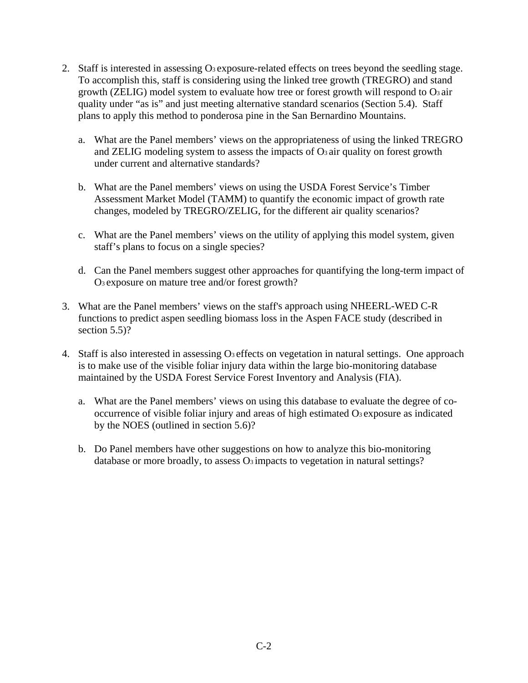- 2. Staff is interested in assessing O<sub>3</sub> exposure-related effects on trees beyond the seedling stage. To accomplish this, staff is considering using the linked tree growth (TREGRO) and stand growth (ZELIG) model system to evaluate how tree or forest growth will respond to  $\Omega_3$  air quality under "as is" and just meeting alternative standard scenarios (Section 5.4). Staff plans to apply this method to ponderosa pine in the San Bernardino Mountains.
	- a. What are the Panel members' views on the appropriateness of using the linked TREGRO and ZELIG modeling system to assess the impacts of  $O<sub>3</sub>$  air quality on forest growth under current and alternative standards?
	- b. What are the Panel members' views on using the USDA Forest Service's Timber Assessment Market Model (TAMM) to quantify the economic impact of growth rate changes, modeled by TREGRO/ZELIG, for the different air quality scenarios?
	- c. What are the Panel members' views on the utility of applying this model system, given staff's plans to focus on a single species?
	- d. Can the Panel members suggest other approaches for quantifying the long-term impact of O3 exposure on mature tree and/or forest growth?
- 3. What are the Panel members' views on the staff's approach using NHEERL-WED C-R functions to predict aspen seedling biomass loss in the Aspen FACE study (described in section 5.5)?
- 4. Staff is also interested in assessing O3 effects on vegetation in natural settings. One approach is to make use of the visible foliar injury data within the large bio-monitoring database maintained by the USDA Forest Service Forest Inventory and Analysis (FIA).
	- a. What are the Panel members' views on using this database to evaluate the degree of cooccurrence of visible foliar injury and areas of high estimated O3 exposure as indicated by the NOES (outlined in section 5.6)?
	- b. Do Panel members have other suggestions on how to analyze this bio-monitoring database or more broadly, to assess  $O_3$  impacts to vegetation in natural settings?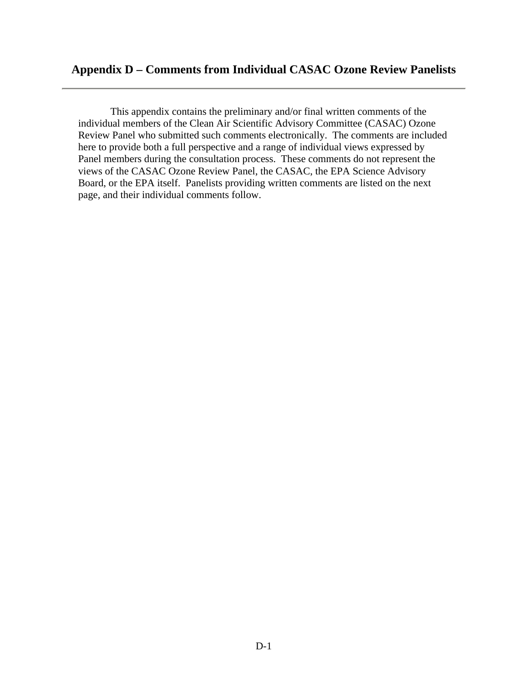This appendix contains the preliminary and/or final written comments of the individual members of the Clean Air Scientific Advisory Committee (CASAC) Ozone Review Panel who submitted such comments electronically. The comments are included here to provide both a full perspective and a range of individual views expressed by Panel members during the consultation process. These comments do not represent the views of the CASAC Ozone Review Panel, the CASAC, the EPA Science Advisory Board, or the EPA itself. Panelists providing written comments are listed on the next page, and their individual comments follow.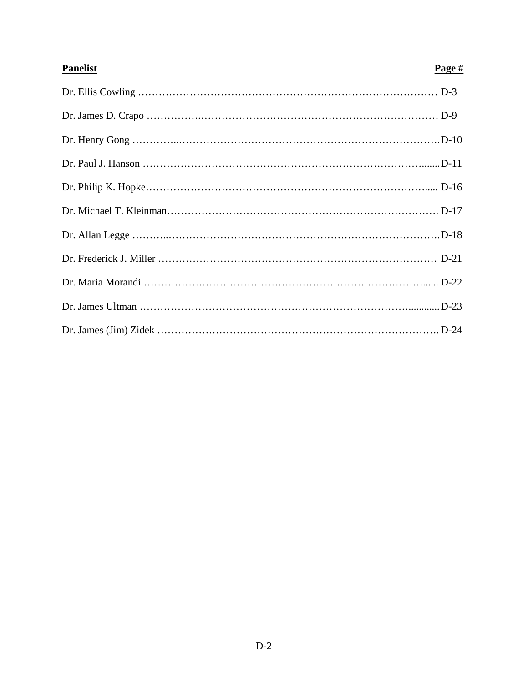| <b>Panelist</b> | Page $#$ |
|-----------------|----------|
|                 |          |
|                 |          |
|                 |          |
|                 |          |
|                 |          |
|                 |          |
|                 |          |
|                 |          |
|                 |          |
|                 |          |
|                 |          |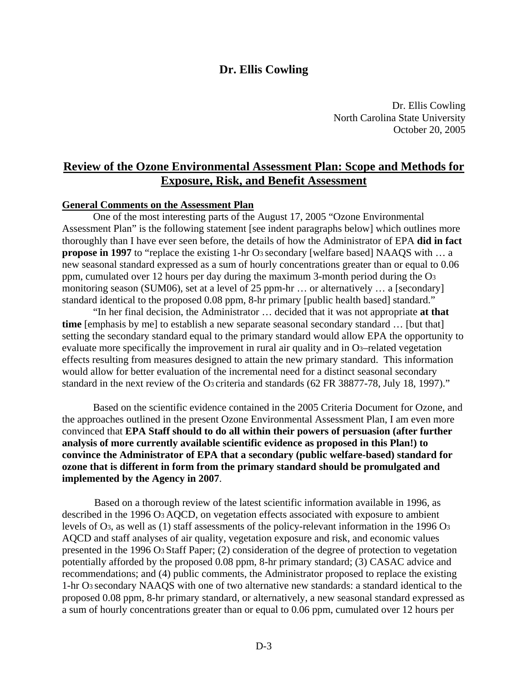## **Dr. Ellis Cowling**

Dr. Ellis Cowling North Carolina State University October 20, 2005

# **Review of the Ozone Environmental Assessment Plan: Scope and Methods for Exposure, Risk, and Benefit Assessment**

#### **General Comments on the Assessment Plan**

One of the most interesting parts of the August 17, 2005 "Ozone Environmental Assessment Plan" is the following statement [see indent paragraphs below] which outlines more thoroughly than I have ever seen before, the details of how the Administrator of EPA **did in fact propose in 1997** to "replace the existing 1-hr O<sub>3</sub> secondary [welfare based] NAAQS with ... a new seasonal standard expressed as a sum of hourly concentrations greater than or equal to 0.06 ppm, cumulated over 12 hours per day during the maximum 3-month period during the O3 monitoring season (SUM06), set at a level of 25 ppm-hr … or alternatively … a [secondary] standard identical to the proposed 0.08 ppm, 8-hr primary [public health based] standard."

"In her final decision, the Administrator … decided that it was not appropriate **at that time** [emphasis by me] to establish a new separate seasonal secondary standard ... [but that] setting the secondary standard equal to the primary standard would allow EPA the opportunity to evaluate more specifically the improvement in rural air quality and in O3–related vegetation effects resulting from measures designed to attain the new primary standard. This information would allow for better evaluation of the incremental need for a distinct seasonal secondary standard in the next review of the O<sub>3</sub> criteria and standards (62 FR 38877-78, July 18, 1997)."

Based on the scientific evidence contained in the 2005 Criteria Document for Ozone, and the approaches outlined in the present Ozone Environmental Assessment Plan, I am even more convinced that **EPA Staff should to do all within their powers of persuasion (after further analysis of more currently available scientific evidence as proposed in this Plan!) to convince the Administrator of EPA that a secondary (public welfare-based) standard for ozone that is different in form from the primary standard should be promulgated and implemented by the Agency in 2007**.

Based on a thorough review of the latest scientific information available in 1996, as described in the 1996 O3 AQCD, on vegetation effects associated with exposure to ambient levels of O3, as well as (1) staff assessments of the policy-relevant information in the 1996 O3 AQCD and staff analyses of air quality, vegetation exposure and risk, and economic values presented in the 1996 O3 Staff Paper; (2) consideration of the degree of protection to vegetation potentially afforded by the proposed 0.08 ppm, 8-hr primary standard; (3) CASAC advice and recommendations; and (4) public comments, the Administrator proposed to replace the existing 1-hr O3 secondary NAAQS with one of two alternative new standards: a standard identical to the proposed 0.08 ppm, 8-hr primary standard, or alternatively, a new seasonal standard expressed as a sum of hourly concentrations greater than or equal to 0.06 ppm, cumulated over 12 hours per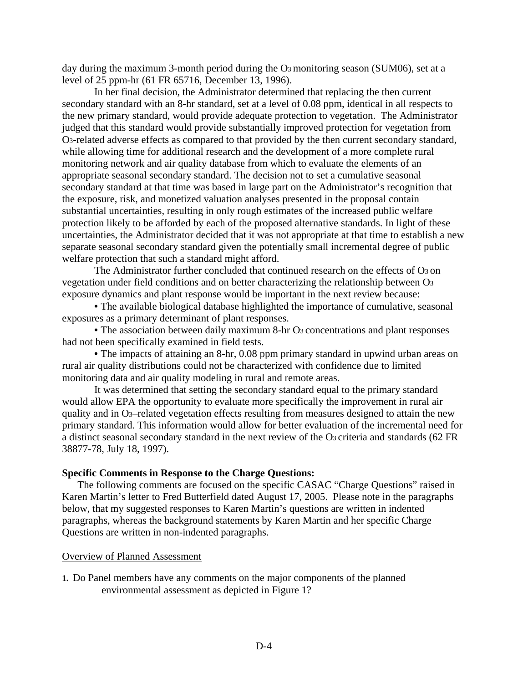day during the maximum 3-month period during the O<sub>3</sub> monitoring season (SUM06), set at a level of 25 ppm-hr (61 FR 65716, December 13, 1996).

In her final decision, the Administrator determined that replacing the then current secondary standard with an 8-hr standard, set at a level of 0.08 ppm, identical in all respects to the new primary standard, would provide adequate protection to vegetation. The Administrator judged that this standard would provide substantially improved protection for vegetation from O3-related adverse effects as compared to that provided by the then current secondary standard, while allowing time for additional research and the development of a more complete rural monitoring network and air quality database from which to evaluate the elements of an appropriate seasonal secondary standard. The decision not to set a cumulative seasonal secondary standard at that time was based in large part on the Administrator's recognition that the exposure, risk, and monetized valuation analyses presented in the proposal contain substantial uncertainties, resulting in only rough estimates of the increased public welfare protection likely to be afforded by each of the proposed alternative standards. In light of these uncertainties, the Administrator decided that it was not appropriate at that time to establish a new separate seasonal secondary standard given the potentially small incremental degree of public welfare protection that such a standard might afford.

The Administrator further concluded that continued research on the effects of O3 on vegetation under field conditions and on better characterizing the relationship between O3 exposure dynamics and plant response would be important in the next review because:

• The available biological database highlighted the importance of cumulative, seasonal exposures as a primary determinant of plant responses.

• The association between daily maximum 8-hr O<sub>3</sub> concentrations and plant responses had not been specifically examined in field tests.

• The impacts of attaining an 8-hr, 0.08 ppm primary standard in upwind urban areas on rural air quality distributions could not be characterized with confidence due to limited monitoring data and air quality modeling in rural and remote areas.

It was determined that setting the secondary standard equal to the primary standard would allow EPA the opportunity to evaluate more specifically the improvement in rural air quality and in O3–related vegetation effects resulting from measures designed to attain the new primary standard. This information would allow for better evaluation of the incremental need for a distinct seasonal secondary standard in the next review of the O3 criteria and standards (62 FR 38877-78, July 18, 1997).

#### **Specific Comments in Response to the Charge Questions:**

The following comments are focused on the specific CASAC "Charge Questions" raised in Karen Martin's letter to Fred Butterfield dated August 17, 2005. Please note in the paragraphs below, that my suggested responses to Karen Martin's questions are written in indented paragraphs, whereas the background statements by Karen Martin and her specific Charge Questions are written in non-indented paragraphs.

#### Overview of Planned Assessment

**1.** Do Panel members have any comments on the major components of the planned environmental assessment as depicted in Figure 1?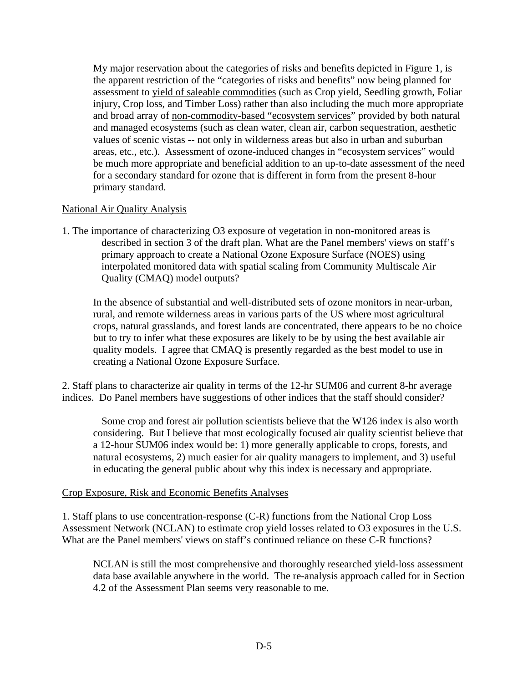My major reservation about the categories of risks and benefits depicted in Figure 1, is the apparent restriction of the "categories of risks and benefits" now being planned for assessment to yield of saleable commodities (such as Crop yield, Seedling growth, Foliar injury, Crop loss, and Timber Loss) rather than also including the much more appropriate and broad array of non-commodity-based "ecosystem services" provided by both natural and managed ecosystems (such as clean water, clean air, carbon sequestration, aesthetic values of scenic vistas -- not only in wilderness areas but also in urban and suburban areas, etc., etc.). Assessment of ozone-induced changes in "ecosystem services" would be much more appropriate and beneficial addition to an up-to-date assessment of the need for a secondary standard for ozone that is different in form from the present 8-hour primary standard.

#### National Air Quality Analysis

1. The importance of characterizing O3 exposure of vegetation in non-monitored areas is described in section 3 of the draft plan. What are the Panel members' views on staff's primary approach to create a National Ozone Exposure Surface (NOES) using interpolated monitored data with spatial scaling from Community Multiscale Air Quality (CMAQ) model outputs?

In the absence of substantial and well-distributed sets of ozone monitors in near-urban, rural, and remote wilderness areas in various parts of the US where most agricultural crops, natural grasslands, and forest lands are concentrated, there appears to be no choice but to try to infer what these exposures are likely to be by using the best available air quality models. I agree that CMAQ is presently regarded as the best model to use in creating a National Ozone Exposure Surface.

2. Staff plans to characterize air quality in terms of the 12-hr SUM06 and current 8-hr average indices. Do Panel members have suggestions of other indices that the staff should consider?

Some crop and forest air pollution scientists believe that the W126 index is also worth considering. But I believe that most ecologically focused air quality scientist believe that a 12-hour SUM06 index would be: 1) more generally applicable to crops, forests, and natural ecosystems, 2) much easier for air quality managers to implement, and 3) useful in educating the general public about why this index is necessary and appropriate.

#### Crop Exposure, Risk and Economic Benefits Analyses

1. Staff plans to use concentration-response (C-R) functions from the National Crop Loss Assessment Network (NCLAN) to estimate crop yield losses related to O3 exposures in the U.S. What are the Panel members' views on staff's continued reliance on these C-R functions?

NCLAN is still the most comprehensive and thoroughly researched yield-loss assessment data base available anywhere in the world. The re-analysis approach called for in Section 4.2 of the Assessment Plan seems very reasonable to me.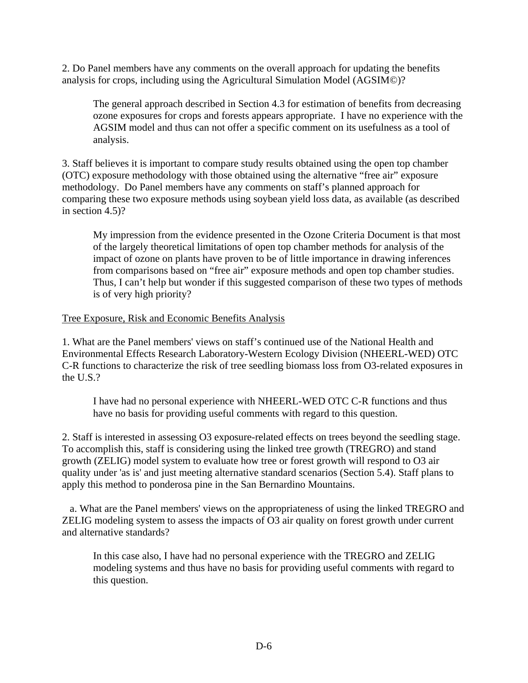2. Do Panel members have any comments on the overall approach for updating the benefits analysis for crops, including using the Agricultural Simulation Model (AGSIM©)?

The general approach described in Section 4.3 for estimation of benefits from decreasing ozone exposures for crops and forests appears appropriate. I have no experience with the AGSIM model and thus can not offer a specific comment on its usefulness as a tool of analysis.

3. Staff believes it is important to compare study results obtained using the open top chamber (OTC) exposure methodology with those obtained using the alternative "free air" exposure methodology. Do Panel members have any comments on staff's planned approach for comparing these two exposure methods using soybean yield loss data, as available (as described in section 4.5)?

My impression from the evidence presented in the Ozone Criteria Document is that most of the largely theoretical limitations of open top chamber methods for analysis of the impact of ozone on plants have proven to be of little importance in drawing inferences from comparisons based on "free air" exposure methods and open top chamber studies. Thus, I can't help but wonder if this suggested comparison of these two types of methods is of very high priority?

#### Tree Exposure, Risk and Economic Benefits Analysis

1. What are the Panel members' views on staff's continued use of the National Health and Environmental Effects Research Laboratory-Western Ecology Division (NHEERL-WED) OTC C-R functions to characterize the risk of tree seedling biomass loss from O3-related exposures in the U.S.?

I have had no personal experience with NHEERL-WED OTC C-R functions and thus have no basis for providing useful comments with regard to this question.

2. Staff is interested in assessing O3 exposure-related effects on trees beyond the seedling stage. To accomplish this, staff is considering using the linked tree growth (TREGRO) and stand growth (ZELIG) model system to evaluate how tree or forest growth will respond to O3 air quality under 'as is' and just meeting alternative standard scenarios (Section 5.4). Staff plans to apply this method to ponderosa pine in the San Bernardino Mountains.

a. What are the Panel members' views on the appropriateness of using the linked TREGRO and ZELIG modeling system to assess the impacts of O3 air quality on forest growth under current and alternative standards?

In this case also, I have had no personal experience with the TREGRO and ZELIG modeling systems and thus have no basis for providing useful comments with regard to this question.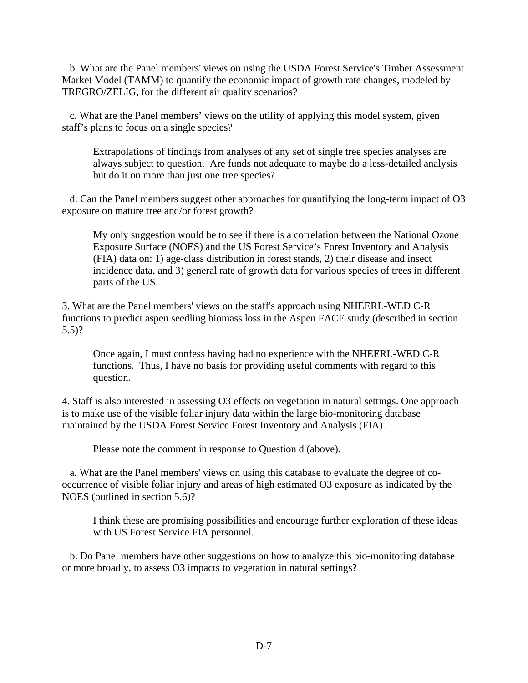b. What are the Panel members' views on using the USDA Forest Service's Timber Assessment Market Model (TAMM) to quantify the economic impact of growth rate changes, modeled by TREGRO/ZELIG, for the different air quality scenarios?

 c. What are the Panel members' views on the utility of applying this model system, given staff's plans to focus on a single species?

Extrapolations of findings from analyses of any set of single tree species analyses are always subject to question. Are funds not adequate to maybe do a less-detailed analysis but do it on more than just one tree species?

d. Can the Panel members suggest other approaches for quantifying the long-term impact of O3 exposure on mature tree and/or forest growth?

My only suggestion would be to see if there is a correlation between the National Ozone Exposure Surface (NOES) and the US Forest Service's Forest Inventory and Analysis (FIA) data on: 1) age-class distribution in forest stands, 2) their disease and insect incidence data, and 3) general rate of growth data for various species of trees in different parts of the US.

3. What are the Panel members' views on the staff's approach using NHEERL-WED C-R functions to predict aspen seedling biomass loss in the Aspen FACE study (described in section 5.5)?

Once again, I must confess having had no experience with the NHEERL-WED C-R functions. Thus, I have no basis for providing useful comments with regard to this question.

4. Staff is also interested in assessing O3 effects on vegetation in natural settings. One approach is to make use of the visible foliar injury data within the large bio-monitoring database maintained by the USDA Forest Service Forest Inventory and Analysis (FIA).

Please note the comment in response to Question d (above).

a. What are the Panel members' views on using this database to evaluate the degree of cooccurrence of visible foliar injury and areas of high estimated O3 exposure as indicated by the NOES (outlined in section 5.6)?

I think these are promising possibilities and encourage further exploration of these ideas with US Forest Service FIA personnel.

b. Do Panel members have other suggestions on how to analyze this bio-monitoring database or more broadly, to assess O3 impacts to vegetation in natural settings?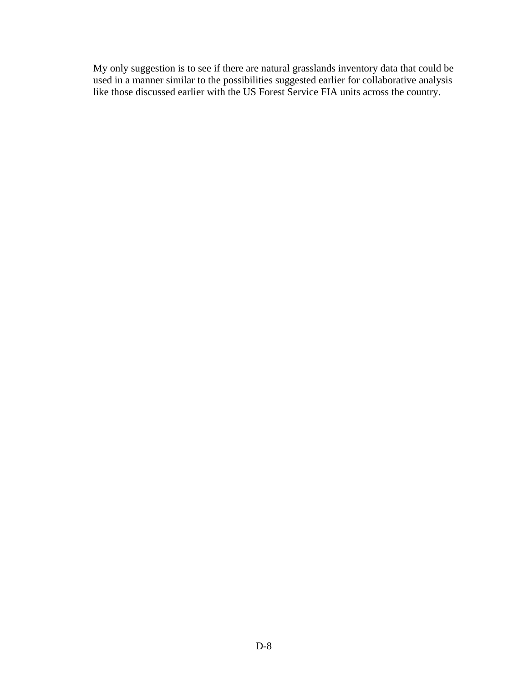My only suggestion is to see if there are natural grasslands inventory data that could be used in a manner similar to the possibilities suggested earlier for collaborative analysis like those discussed earlier with the US Forest Service FIA units across the country.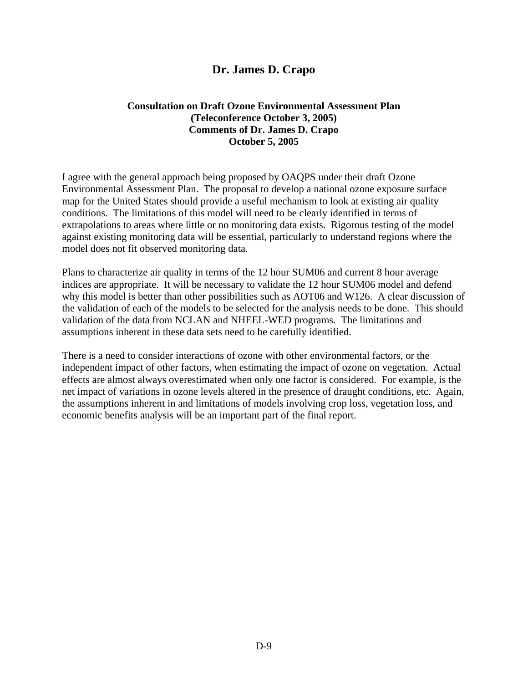# **Dr. James D. Crapo**

#### **Consultation on Draft Ozone Environmental Assessment Plan (Teleconference October 3, 2005) Comments of Dr. James D. Crapo October 5, 2005**

I agree with the general approach being proposed by OAQPS under their draft Ozone Environmental Assessment Plan. The proposal to develop a national ozone exposure surface map for the United States should provide a useful mechanism to look at existing air quality conditions. The limitations of this model will need to be clearly identified in terms of extrapolations to areas where little or no monitoring data exists. Rigorous testing of the model against existing monitoring data will be essential, particularly to understand regions where the model does not fit observed monitoring data.

Plans to characterize air quality in terms of the 12 hour SUM06 and current 8 hour average indices are appropriate. It will be necessary to validate the 12 hour SUM06 model and defend why this model is better than other possibilities such as AOT06 and W126. A clear discussion of the validation of each of the models to be selected for the analysis needs to be done. This should validation of the data from NCLAN and NHEEL-WED programs. The limitations and assumptions inherent in these data sets need to be carefully identified.

There is a need to consider interactions of ozone with other environmental factors, or the independent impact of other factors, when estimating the impact of ozone on vegetation. Actual effects are almost always overestimated when only one factor is considered. For example, is the net impact of variations in ozone levels altered in the presence of draught conditions, etc. Again, the assumptions inherent in and limitations of models involving crop loss, vegetation loss, and economic benefits analysis will be an important part of the final report.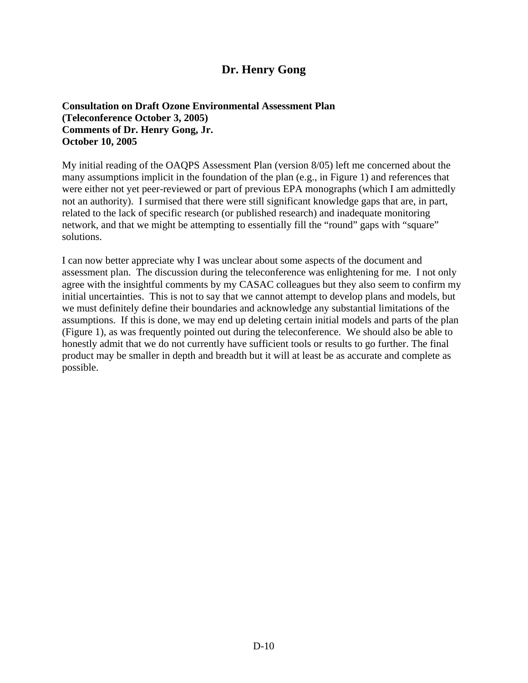# **Dr. Henry Gong**

**Consultation on Draft Ozone Environmental Assessment Plan (Teleconference October 3, 2005) Comments of Dr. Henry Gong, Jr. October 10, 2005** 

My initial reading of the OAQPS Assessment Plan (version 8/05) left me concerned about the many assumptions implicit in the foundation of the plan (e.g., in Figure 1) and references that were either not yet peer-reviewed or part of previous EPA monographs (which I am admittedly not an authority). I surmised that there were still significant knowledge gaps that are, in part, related to the lack of specific research (or published research) and inadequate monitoring network, and that we might be attempting to essentially fill the "round" gaps with "square" solutions.

I can now better appreciate why I was unclear about some aspects of the document and assessment plan. The discussion during the teleconference was enlightening for me. I not only agree with the insightful comments by my CASAC colleagues but they also seem to confirm my initial uncertainties. This is not to say that we cannot attempt to develop plans and models, but we must definitely define their boundaries and acknowledge any substantial limitations of the assumptions. If this is done, we may end up deleting certain initial models and parts of the plan (Figure 1), as was frequently pointed out during the teleconference. We should also be able to honestly admit that we do not currently have sufficient tools or results to go further. The final product may be smaller in depth and breadth but it will at least be as accurate and complete as possible.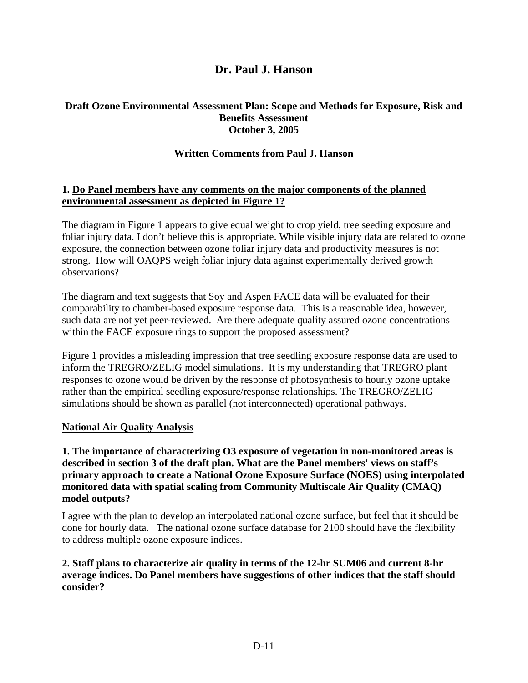# **Dr. Paul J. Hanson**

### **Draft Ozone Environmental Assessment Plan: Scope and Methods for Exposure, Risk and Benefits Assessment October 3, 2005**

### **Written Comments from Paul J. Hanson**

#### **1. Do Panel members have any comments on the major components of the planned environmental assessment as depicted in Figure 1?**

The diagram in Figure 1 appears to give equal weight to crop yield, tree seeding exposure and foliar injury data. I don't believe this is appropriate. While visible injury data are related to ozone exposure, the connection between ozone foliar injury data and productivity measures is not strong. How will OAQPS weigh foliar injury data against experimentally derived growth observations?

The diagram and text suggests that Soy and Aspen FACE data will be evaluated for their comparability to chamber-based exposure response data. This is a reasonable idea, however, such data are not yet peer-reviewed. Are there adequate quality assured ozone concentrations within the FACE exposure rings to support the proposed assessment?

Figure 1 provides a misleading impression that tree seedling exposure response data are used to inform the TREGRO/ZELIG model simulations. It is my understanding that TREGRO plant responses to ozone would be driven by the response of photosynthesis to hourly ozone uptake rather than the empirical seedling exposure/response relationships. The TREGRO/ZELIG simulations should be shown as parallel (not interconnected) operational pathways.

#### **National Air Quality Analysis**

### **1. The importance of characterizing O3 exposure of vegetation in non-monitored areas is described in section 3 of the draft plan. What are the Panel members' views on staff's primary approach to create a National Ozone Exposure Surface (NOES) using interpolated monitored data with spatial scaling from Community Multiscale Air Quality (CMAQ) model outputs?**

I agree with the plan to develop an interpolated national ozone surface, but feel that it should be done for hourly data. The national ozone surface database for 2100 should have the flexibility to address multiple ozone exposure indices.

#### **2. Staff plans to characterize air quality in terms of the 12-hr SUM06 and current 8-hr average indices. Do Panel members have suggestions of other indices that the staff should consider?**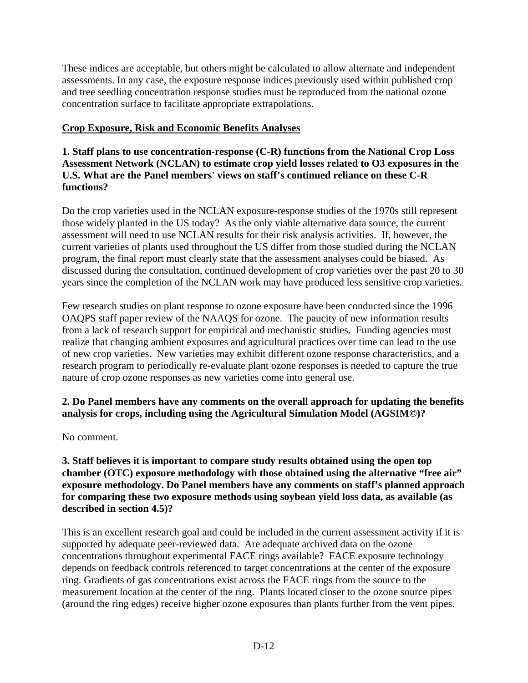These indices are acceptable, but others might be calculated to allow alternate and independent assessments. In any case, the exposure response indices previously used within published crop and tree seedling concentration response studies must be reproduced from the national ozone concentration surface to facilitate appropriate extrapolations.

# **Crop Exposure, Risk and Economic Benefits Analyses**

### **1. Staff plans to use concentration-response (C-R) functions from the National Crop Loss Assessment Network (NCLAN) to estimate crop yield losses related to O3 exposures in the U.S. What are the Panel members' views on staff's continued reliance on these C-R functions?**

Do the crop varieties used in the NCLAN exposure-response studies of the 1970s still represent those widely planted in the US today? As the only viable alternative data source, the current assessment will need to use NCLAN results for their risk analysis activities. If, however, the current varieties of plants used throughout the US differ from those studied during the NCLAN program, the final report must clearly state that the assessment analyses could be biased. As discussed during the consultation, continued development of crop varieties over the past 20 to 30 years since the completion of the NCLAN work may have produced less sensitive crop varieties.

Few research studies on plant response to ozone exposure have been conducted since the 1996 OAQPS staff paper review of the NAAQS for ozone. The paucity of new information results from a lack of research support for empirical and mechanistic studies. Funding agencies must realize that changing ambient exposures and agricultural practices over time can lead to the use of new crop varieties. New varieties may exhibit different ozone response characteristics, and a research program to periodically re-evaluate plant ozone responses is needed to capture the true nature of crop ozone responses as new varieties come into general use.

# **2. Do Panel members have any comments on the overall approach for updating the benefits analysis for crops, including using the Agricultural Simulation Model (AGSIM©)?**

No comment.

**3. Staff believes it is important to compare study results obtained using the open top chamber (OTC) exposure methodology with those obtained using the alternative "free air" exposure methodology. Do Panel members have any comments on staff's planned approach for comparing these two exposure methods using soybean yield loss data, as available (as described in section 4.5)?** 

This is an excellent research goal and could be included in the current assessment activity if it is supported by adequate peer-reviewed data. Are adequate archived data on the ozone concentrations throughout experimental FACE rings available? FACE exposure technology depends on feedback controls referenced to target concentrations at the center of the exposure ring. Gradients of gas concentrations exist across the FACE rings from the source to the measurement location at the center of the ring. Plants located closer to the ozone source pipes (around the ring edges) receive higher ozone exposures than plants further from the vent pipes.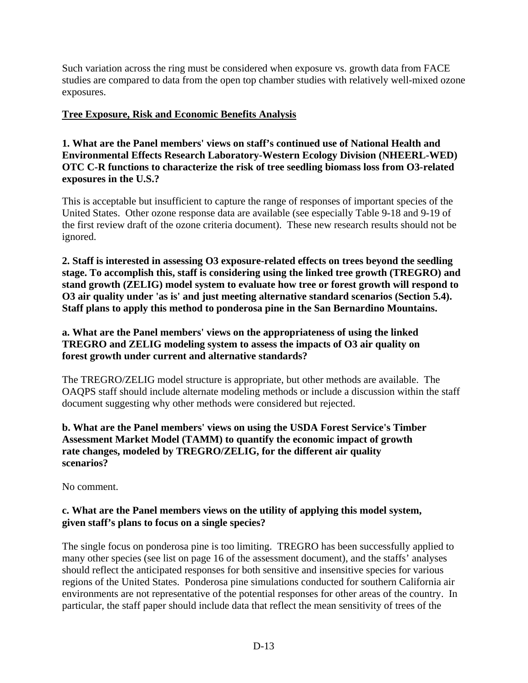Such variation across the ring must be considered when exposure vs. growth data from FACE studies are compared to data from the open top chamber studies with relatively well-mixed ozone exposures.

# **Tree Exposure, Risk and Economic Benefits Analysis**

**1. What are the Panel members' views on staff's continued use of National Health and Environmental Effects Research Laboratory-Western Ecology Division (NHEERL-WED) OTC C-R functions to characterize the risk of tree seedling biomass loss from O3-related exposures in the U.S.?** 

This is acceptable but insufficient to capture the range of responses of important species of the United States. Other ozone response data are available (see especially Table 9-18 and 9-19 of the first review draft of the ozone criteria document). These new research results should not be ignored.

**2. Staff is interested in assessing O3 exposure-related effects on trees beyond the seedling stage. To accomplish this, staff is considering using the linked tree growth (TREGRO) and stand growth (ZELIG) model system to evaluate how tree or forest growth will respond to O3 air quality under 'as is' and just meeting alternative standard scenarios (Section 5.4). Staff plans to apply this method to ponderosa pine in the San Bernardino Mountains.** 

### **a. What are the Panel members' views on the appropriateness of using the linked TREGRO and ZELIG modeling system to assess the impacts of O3 air quality on forest growth under current and alternative standards?**

The TREGRO/ZELIG model structure is appropriate, but other methods are available. The OAQPS staff should include alternate modeling methods or include a discussion within the staff document suggesting why other methods were considered but rejected.

### **b. What are the Panel members' views on using the USDA Forest Service's Timber Assessment Market Model (TAMM) to quantify the economic impact of growth rate changes, modeled by TREGRO/ZELIG, for the different air quality scenarios?**

No comment.

### **c. What are the Panel members views on the utility of applying this model system, given staff's plans to focus on a single species?**

The single focus on ponderosa pine is too limiting. TREGRO has been successfully applied to many other species (see list on page 16 of the assessment document), and the staffs' analyses should reflect the anticipated responses for both sensitive and insensitive species for various regions of the United States. Ponderosa pine simulations conducted for southern California air environments are not representative of the potential responses for other areas of the country. In particular, the staff paper should include data that reflect the mean sensitivity of trees of the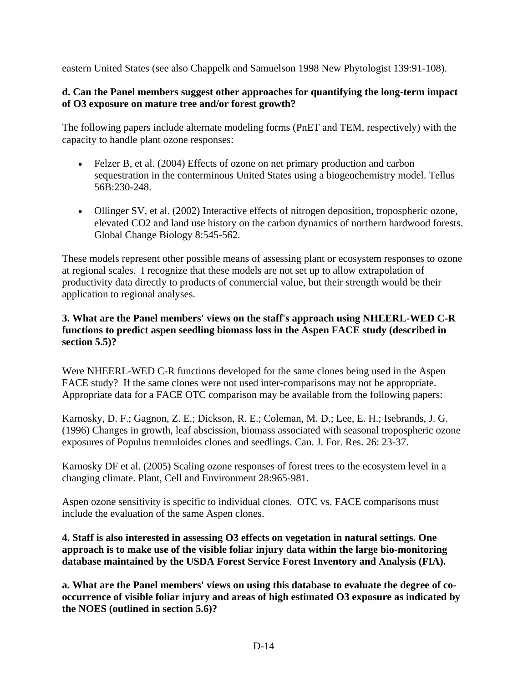eastern United States (see also Chappelk and Samuelson 1998 New Phytologist 139:91-108).

## **d. Can the Panel members suggest other approaches for quantifying the long-term impact of O3 exposure on mature tree and/or forest growth?**

The following papers include alternate modeling forms (PnET and TEM, respectively) with the capacity to handle plant ozone responses:

- Felzer B, et al. (2004) Effects of ozone on net primary production and carbon sequestration in the conterminous United States using a biogeochemistry model. Tellus 56B:230-248.
- Ollinger SV, et al. (2002) Interactive effects of nitrogen deposition, tropospheric ozone, elevated CO2 and land use history on the carbon dynamics of northern hardwood forests. Global Change Biology 8:545-562.

These models represent other possible means of assessing plant or ecosystem responses to ozone at regional scales. I recognize that these models are not set up to allow extrapolation of productivity data directly to products of commercial value, but their strength would be their application to regional analyses.

# **3. What are the Panel members' views on the staff's approach using NHEERL-WED C-R functions to predict aspen seedling biomass loss in the Aspen FACE study (described in section 5.5)?**

Were NHEERL-WED C-R functions developed for the same clones being used in the Aspen FACE study? If the same clones were not used inter-comparisons may not be appropriate. Appropriate data for a FACE OTC comparison may be available from the following papers:

Karnosky, D. F.; Gagnon, Z. E.; Dickson, R. E.; Coleman, M. D.; Lee, E. H.; Isebrands, J. G. (1996) Changes in growth, leaf abscission, biomass associated with seasonal tropospheric ozone exposures of Populus tremuloides clones and seedlings. Can. J. For. Res. 26: 23-37.

Karnosky DF et al. (2005) Scaling ozone responses of forest trees to the ecosystem level in a changing climate. Plant, Cell and Environment 28:965-981.

Aspen ozone sensitivity is specific to individual clones. OTC vs. FACE comparisons must include the evaluation of the same Aspen clones.

# **4. Staff is also interested in assessing O3 effects on vegetation in natural settings. One approach is to make use of the visible foliar injury data within the large bio-monitoring database maintained by the USDA Forest Service Forest Inventory and Analysis (FIA).**

**a. What are the Panel members' views on using this database to evaluate the degree of cooccurrence of visible foliar injury and areas of high estimated O3 exposure as indicated by the NOES (outlined in section 5.6)?**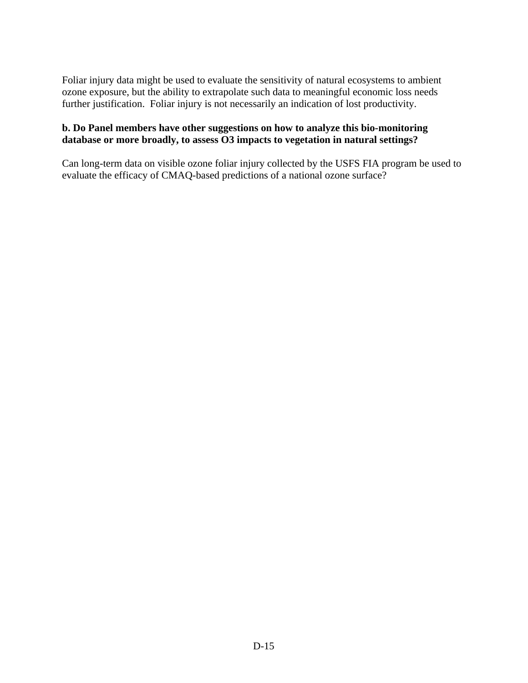Foliar injury data might be used to evaluate the sensitivity of natural ecosystems to ambient ozone exposure, but the ability to extrapolate such data to meaningful economic loss needs further justification. Foliar injury is not necessarily an indication of lost productivity.

#### **b. Do Panel members have other suggestions on how to analyze this bio-monitoring database or more broadly, to assess O3 impacts to vegetation in natural settings?**

Can long-term data on visible ozone foliar injury collected by the USFS FIA program be used to evaluate the efficacy of CMAQ-based predictions of a national ozone surface?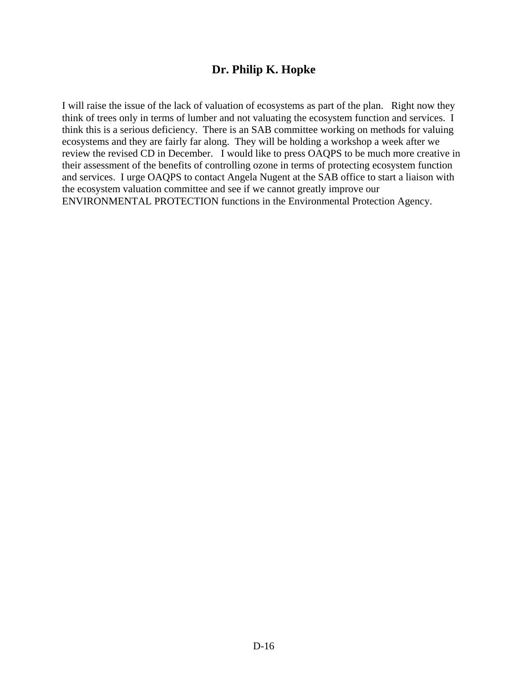# **Dr. Philip K. Hopke**

I will raise the issue of the lack of valuation of ecosystems as part of the plan. Right now they think of trees only in terms of lumber and not valuating the ecosystem function and services. I think this is a serious deficiency. There is an SAB committee working on methods for valuing ecosystems and they are fairly far along. They will be holding a workshop a week after we review the revised CD in December. I would like to press OAQPS to be much more creative in their assessment of the benefits of controlling ozone in terms of protecting ecosystem function and services. I urge OAQPS to contact Angela Nugent at the SAB office to start a liaison with the ecosystem valuation committee and see if we cannot greatly improve our ENVIRONMENTAL PROTECTION functions in the Environmental Protection Agency.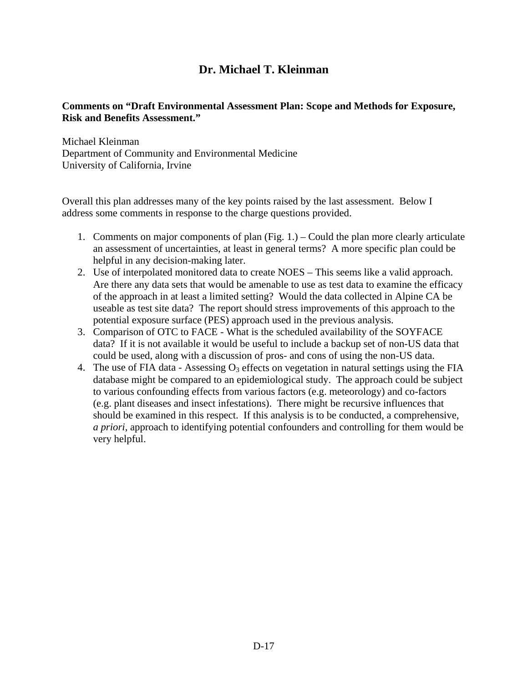# **Dr. Michael T. Kleinman**

### **Comments on "Draft Environmental Assessment Plan: Scope and Methods for Exposure, Risk and Benefits Assessment."**

Michael Kleinman Department of Community and Environmental Medicine University of California, Irvine

Overall this plan addresses many of the key points raised by the last assessment. Below I address some comments in response to the charge questions provided.

- 1. Comments on major components of plan (Fig. 1.) Could the plan more clearly articulate an assessment of uncertainties, at least in general terms? A more specific plan could be helpful in any decision-making later.
- 2. Use of interpolated monitored data to create NOES This seems like a valid approach. Are there any data sets that would be amenable to use as test data to examine the efficacy of the approach in at least a limited setting? Would the data collected in Alpine CA be useable as test site data? The report should stress improvements of this approach to the potential exposure surface (PES) approach used in the previous analysis.
- 3. Comparison of OTC to FACE What is the scheduled availability of the SOYFACE data? If it is not available it would be useful to include a backup set of non-US data that could be used, along with a discussion of pros- and cons of using the non-US data.
- 4. The use of FIA data Assessing  $O_3$  effects on vegetation in natural settings using the FIA database might be compared to an epidemiological study. The approach could be subject to various confounding effects from various factors (e.g. meteorology) and co-factors (e.g. plant diseases and insect infestations). There might be recursive influences that should be examined in this respect. If this analysis is to be conducted, a comprehensive, *a priori*, approach to identifying potential confounders and controlling for them would be very helpful.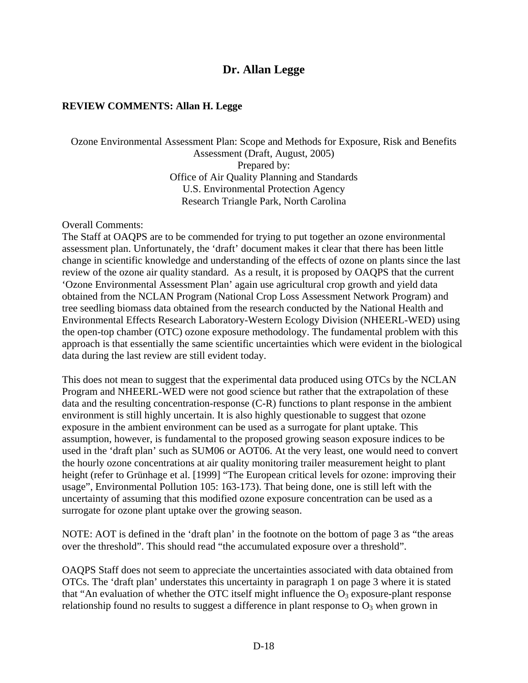# **Dr. Allan Legge**

#### **REVIEW COMMENTS: Allan H. Legge**

#### Ozone Environmental Assessment Plan: Scope and Methods for Exposure, Risk and Benefits Assessment (Draft, August, 2005) Prepared by: Office of Air Quality Planning and Standards U.S. Environmental Protection Agency Research Triangle Park, North Carolina

#### Overall Comments:

The Staff at OAQPS are to be commended for trying to put together an ozone environmental assessment plan. Unfortunately, the 'draft' document makes it clear that there has been little change in scientific knowledge and understanding of the effects of ozone on plants since the last review of the ozone air quality standard. As a result, it is proposed by OAQPS that the current 'Ozone Environmental Assessment Plan' again use agricultural crop growth and yield data obtained from the NCLAN Program (National Crop Loss Assessment Network Program) and tree seedling biomass data obtained from the research conducted by the National Health and Environmental Effects Research Laboratory-Western Ecology Division (NHEERL-WED) using the open-top chamber (OTC) ozone exposure methodology. The fundamental problem with this approach is that essentially the same scientific uncertainties which were evident in the biological data during the last review are still evident today.

This does not mean to suggest that the experimental data produced using OTCs by the NCLAN Program and NHEERL-WED were not good science but rather that the extrapolation of these data and the resulting concentration-response (C-R) functions to plant response in the ambient environment is still highly uncertain. It is also highly questionable to suggest that ozone exposure in the ambient environment can be used as a surrogate for plant uptake. This assumption, however, is fundamental to the proposed growing season exposure indices to be used in the 'draft plan' such as SUM06 or AOT06. At the very least, one would need to convert the hourly ozone concentrations at air quality monitoring trailer measurement height to plant height (refer to Grünhage et al. [1999] "The European critical levels for ozone: improving their usage", Environmental Pollution 105: 163-173). That being done, one is still left with the uncertainty of assuming that this modified ozone exposure concentration can be used as a surrogate for ozone plant uptake over the growing season.

NOTE: AOT is defined in the 'draft plan' in the footnote on the bottom of page 3 as "the areas over the threshold". This should read "the accumulated exposure over a threshold".

OAQPS Staff does not seem to appreciate the uncertainties associated with data obtained from OTCs. The 'draft plan' understates this uncertainty in paragraph 1 on page 3 where it is stated that "An evaluation of whether the OTC itself might influence the  $O_3$  exposure-plant response relationship found no results to suggest a difference in plant response to  $O_3$  when grown in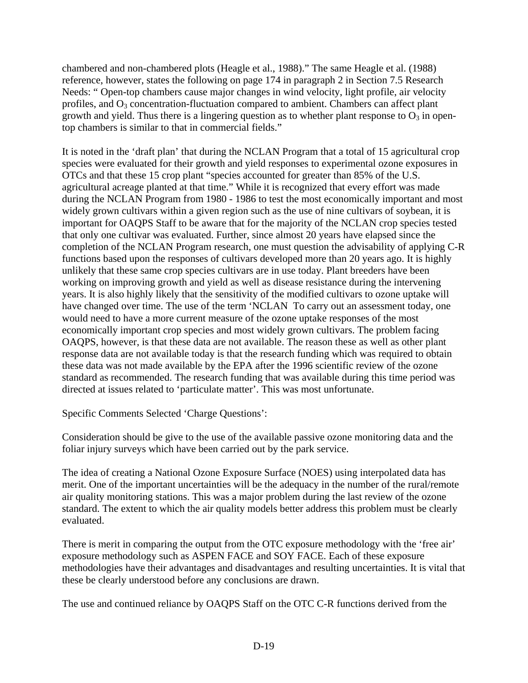chambered and non-chambered plots (Heagle et al., 1988)." The same Heagle et al. (1988) reference, however, states the following on page 174 in paragraph 2 in Section 7.5 Research Needs: " Open-top chambers cause major changes in wind velocity, light profile, air velocity profiles, and  $O_3$  concentration-fluctuation compared to ambient. Chambers can affect plant growth and yield. Thus there is a lingering question as to whether plant response to  $O_3$  in opentop chambers is similar to that in commercial fields."

It is noted in the 'draft plan' that during the NCLAN Program that a total of 15 agricultural crop species were evaluated for their growth and yield responses to experimental ozone exposures in OTCs and that these 15 crop plant "species accounted for greater than 85% of the U.S. agricultural acreage planted at that time." While it is recognized that every effort was made during the NCLAN Program from 1980 - 1986 to test the most economically important and most widely grown cultivars within a given region such as the use of nine cultivars of soybean, it is important for OAQPS Staff to be aware that for the majority of the NCLAN crop species tested that only one cultivar was evaluated. Further, since almost 20 years have elapsed since the completion of the NCLAN Program research, one must question the advisability of applying C-R functions based upon the responses of cultivars developed more than 20 years ago. It is highly unlikely that these same crop species cultivars are in use today. Plant breeders have been working on improving growth and yield as well as disease resistance during the intervening years. It is also highly likely that the sensitivity of the modified cultivars to ozone uptake will have changed over time. The use of the term 'NCLAN To carry out an assessment today, one would need to have a more current measure of the ozone uptake responses of the most economically important crop species and most widely grown cultivars. The problem facing OAQPS, however, is that these data are not available. The reason these as well as other plant response data are not available today is that the research funding which was required to obtain these data was not made available by the EPA after the 1996 scientific review of the ozone standard as recommended. The research funding that was available during this time period was directed at issues related to 'particulate matter'. This was most unfortunate.

Specific Comments Selected 'Charge Questions':

Consideration should be give to the use of the available passive ozone monitoring data and the foliar injury surveys which have been carried out by the park service.

The idea of creating a National Ozone Exposure Surface (NOES) using interpolated data has merit. One of the important uncertainties will be the adequacy in the number of the rural/remote air quality monitoring stations. This was a major problem during the last review of the ozone standard. The extent to which the air quality models better address this problem must be clearly evaluated.

There is merit in comparing the output from the OTC exposure methodology with the 'free air' exposure methodology such as ASPEN FACE and SOY FACE. Each of these exposure methodologies have their advantages and disadvantages and resulting uncertainties. It is vital that these be clearly understood before any conclusions are drawn.

The use and continued reliance by OAQPS Staff on the OTC C-R functions derived from the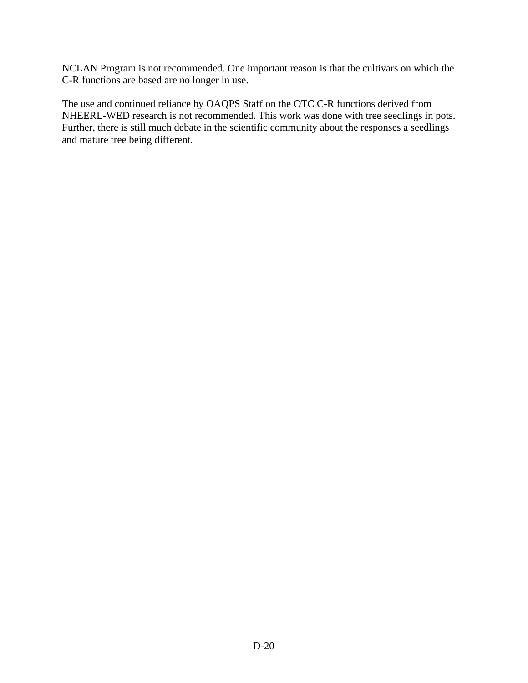NCLAN Program is not recommended. One important reason is that the cultivars on which the C-R functions are based are no longer in use.

The use and continued reliance by OAQPS Staff on the OTC C-R functions derived from NHEERL-WED research is not recommended. This work was done with tree seedlings in pots. Further, there is still much debate in the scientific community about the responses a seedlings and mature tree being different.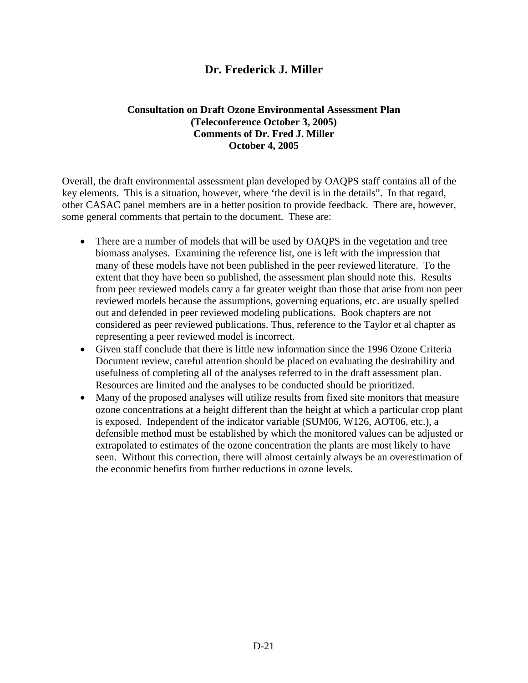# **Dr. Frederick J. Miller**

#### **Consultation on Draft Ozone Environmental Assessment Plan (Teleconference October 3, 2005) Comments of Dr. Fred J. Miller October 4, 2005**

Overall, the draft environmental assessment plan developed by OAQPS staff contains all of the key elements. This is a situation, however, where 'the devil is in the details". In that regard, other CASAC panel members are in a better position to provide feedback. There are, however, some general comments that pertain to the document. These are:

- There are a number of models that will be used by OAQPS in the vegetation and tree biomass analyses. Examining the reference list, one is left with the impression that many of these models have not been published in the peer reviewed literature. To the extent that they have been so published, the assessment plan should note this. Results from peer reviewed models carry a far greater weight than those that arise from non peer reviewed models because the assumptions, governing equations, etc. are usually spelled out and defended in peer reviewed modeling publications. Book chapters are not considered as peer reviewed publications. Thus, reference to the Taylor et al chapter as representing a peer reviewed model is incorrect.
- Given staff conclude that there is little new information since the 1996 Ozone Criteria Document review, careful attention should be placed on evaluating the desirability and usefulness of completing all of the analyses referred to in the draft assessment plan. Resources are limited and the analyses to be conducted should be prioritized.
- Many of the proposed analyses will utilize results from fixed site monitors that measure ozone concentrations at a height different than the height at which a particular crop plant is exposed. Independent of the indicator variable (SUM06, W126, AOT06, etc.), a defensible method must be established by which the monitored values can be adjusted or extrapolated to estimates of the ozone concentration the plants are most likely to have seen. Without this correction, there will almost certainly always be an overestimation of the economic benefits from further reductions in ozone levels.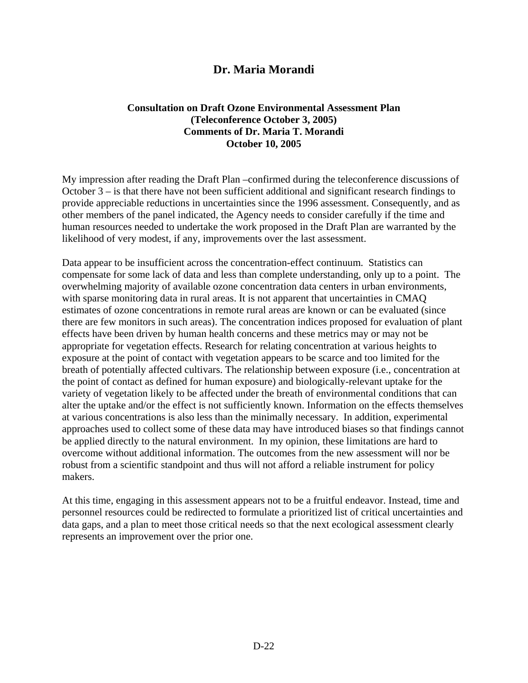# **Dr. Maria Morandi**

#### **Consultation on Draft Ozone Environmental Assessment Plan (Teleconference October 3, 2005) Comments of Dr. Maria T. Morandi October 10, 2005**

My impression after reading the Draft Plan –confirmed during the teleconference discussions of October 3 – is that there have not been sufficient additional and significant research findings to provide appreciable reductions in uncertainties since the 1996 assessment. Consequently, and as other members of the panel indicated, the Agency needs to consider carefully if the time and human resources needed to undertake the work proposed in the Draft Plan are warranted by the likelihood of very modest, if any, improvements over the last assessment.

Data appear to be insufficient across the concentration-effect continuum. Statistics can compensate for some lack of data and less than complete understanding, only up to a point. The overwhelming majority of available ozone concentration data centers in urban environments, with sparse monitoring data in rural areas. It is not apparent that uncertainties in CMAQ estimates of ozone concentrations in remote rural areas are known or can be evaluated (since there are few monitors in such areas). The concentration indices proposed for evaluation of plant effects have been driven by human health concerns and these metrics may or may not be appropriate for vegetation effects. Research for relating concentration at various heights to exposure at the point of contact with vegetation appears to be scarce and too limited for the breath of potentially affected cultivars. The relationship between exposure (i.e., concentration at the point of contact as defined for human exposure) and biologically-relevant uptake for the variety of vegetation likely to be affected under the breath of environmental conditions that can alter the uptake and/or the effect is not sufficiently known. Information on the effects themselves at various concentrations is also less than the minimally necessary. In addition, experimental approaches used to collect some of these data may have introduced biases so that findings cannot be applied directly to the natural environment. In my opinion, these limitations are hard to overcome without additional information. The outcomes from the new assessment will nor be robust from a scientific standpoint and thus will not afford a reliable instrument for policy makers.

At this time, engaging in this assessment appears not to be a fruitful endeavor. Instead, time and personnel resources could be redirected to formulate a prioritized list of critical uncertainties and data gaps, and a plan to meet those critical needs so that the next ecological assessment clearly represents an improvement over the prior one.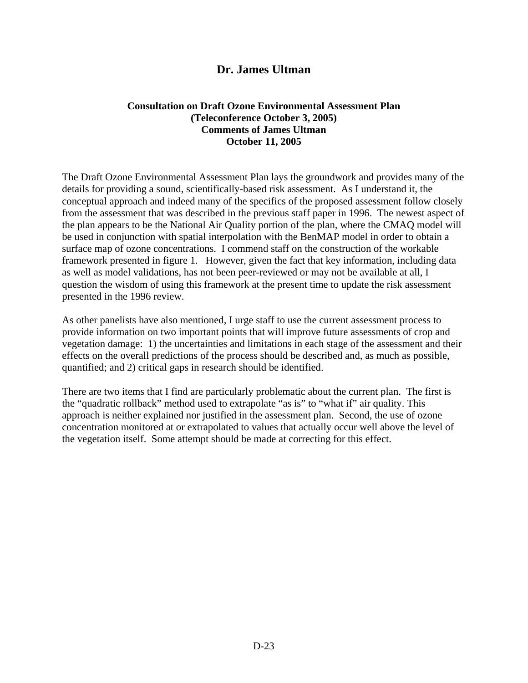# **Dr. James Ultman**

#### **Consultation on Draft Ozone Environmental Assessment Plan (Teleconference October 3, 2005) Comments of James Ultman October 11, 2005**

The Draft Ozone Environmental Assessment Plan lays the groundwork and provides many of the details for providing a sound, scientifically-based risk assessment. As I understand it, the conceptual approach and indeed many of the specifics of the proposed assessment follow closely from the assessment that was described in the previous staff paper in 1996. The newest aspect of the plan appears to be the National Air Quality portion of the plan, where the CMAQ model will be used in conjunction with spatial interpolation with the BenMAP model in order to obtain a surface map of ozone concentrations. I commend staff on the construction of the workable framework presented in figure 1. However, given the fact that key information, including data as well as model validations, has not been peer-reviewed or may not be available at all, I question the wisdom of using this framework at the present time to update the risk assessment presented in the 1996 review.

As other panelists have also mentioned, I urge staff to use the current assessment process to provide information on two important points that will improve future assessments of crop and vegetation damage: 1) the uncertainties and limitations in each stage of the assessment and their effects on the overall predictions of the process should be described and, as much as possible, quantified; and 2) critical gaps in research should be identified.

There are two items that I find are particularly problematic about the current plan. The first is the "quadratic rollback" method used to extrapolate "as is" to "what if" air quality. This approach is neither explained nor justified in the assessment plan. Second, the use of ozone concentration monitored at or extrapolated to values that actually occur well above the level of the vegetation itself. Some attempt should be made at correcting for this effect.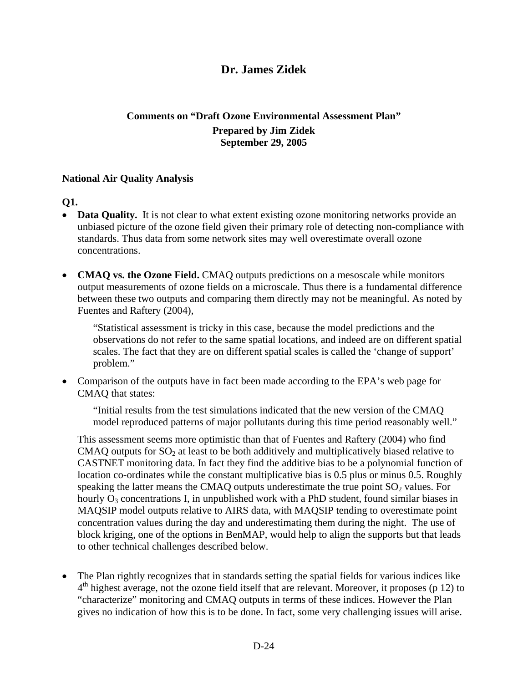# **Dr. James Zidek**

# **Comments on "Draft Ozone Environmental Assessment Plan" Prepared by Jim Zidek September 29, 2005**

#### **National Air Quality Analysis**

### **Q1.**

- **Data Quality.** It is not clear to what extent existing ozone monitoring networks provide an unbiased picture of the ozone field given their primary role of detecting non-compliance with standards. Thus data from some network sites may well overestimate overall ozone concentrations.
- **CMAQ vs. the Ozone Field.** CMAQ outputs predictions on a mesoscale while monitors output measurements of ozone fields on a microscale. Thus there is a fundamental difference between these two outputs and comparing them directly may not be meaningful. As noted by Fuentes and Raftery (2004),

"Statistical assessment is tricky in this case, because the model predictions and the observations do not refer to the same spatial locations, and indeed are on different spatial scales. The fact that they are on different spatial scales is called the 'change of support' problem."

• Comparison of the outputs have in fact been made according to the EPA's web page for CMAQ that states:

"Initial results from the test simulations indicated that the new version of the CMAQ model reproduced patterns of major pollutants during this time period reasonably well."

This assessment seems more optimistic than that of Fuentes and Raftery (2004) who find CMAQ outputs for  $SO<sub>2</sub>$  at least to be both additively and multiplicatively biased relative to CASTNET monitoring data. In fact they find the additive bias to be a polynomial function of location co-ordinates while the constant multiplicative bias is 0.5 plus or minus 0.5. Roughly speaking the latter means the CMAQ outputs underestimate the true point  $SO<sub>2</sub>$  values. For hourly  $O_3$  concentrations I, in unpublished work with a PhD student, found similar biases in MAQSIP model outputs relative to AIRS data, with MAQSIP tending to overestimate point concentration values during the day and underestimating them during the night. The use of block kriging, one of the options in BenMAP, would help to align the supports but that leads to other technical challenges described below.

4<sup>th</sup> highest average, not the ozone field itself that are relevant. Moreover, it proposes (p 12) to • The Plan rightly recognizes that in standards setting the spatial fields for various indices like "characterize" monitoring and CMAQ outputs in terms of these indices. However the Plan gives no indication of how this is to be done. In fact, some very challenging issues will arise.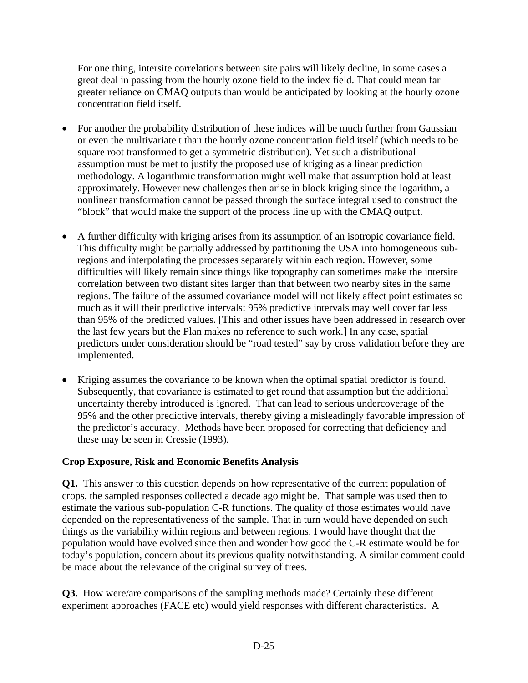For one thing, intersite correlations between site pairs will likely decline, in some cases a great deal in passing from the hourly ozone field to the index field. That could mean far greater reliance on CMAQ outputs than would be anticipated by looking at the hourly ozone concentration field itself.

- For another the probability distribution of these indices will be much further from Gaussian or even the multivariate t than the hourly ozone concentration field itself (which needs to be square root transformed to get a symmetric distribution). Yet such a distributional assumption must be met to justify the proposed use of kriging as a linear prediction methodology. A logarithmic transformation might well make that assumption hold at least approximately. However new challenges then arise in block kriging since the logarithm, a nonlinear transformation cannot be passed through the surface integral used to construct the "block" that would make the support of the process line up with the CMAQ output.
- A further difficulty with kriging arises from its assumption of an isotropic covariance field. This difficulty might be partially addressed by partitioning the USA into homogeneous subregions and interpolating the processes separately within each region. However, some difficulties will likely remain since things like topography can sometimes make the intersite correlation between two distant sites larger than that between two nearby sites in the same regions. The failure of the assumed covariance model will not likely affect point estimates so much as it will their predictive intervals: 95% predictive intervals may well cover far less than 95% of the predicted values. [This and other issues have been addressed in research over the last few years but the Plan makes no reference to such work.] In any case, spatial predictors under consideration should be "road tested" say by cross validation before they are implemented.
- Kriging assumes the covariance to be known when the optimal spatial predictor is found. Subsequently, that covariance is estimated to get round that assumption but the additional uncertainty thereby introduced is ignored. That can lead to serious undercoverage of the 95% and the other predictive intervals, thereby giving a misleadingly favorable impression of the predictor's accuracy. Methods have been proposed for correcting that deficiency and these may be seen in Cressie (1993).

### **Crop Exposure, Risk and Economic Benefits Analysis**

**Q1.** This answer to this question depends on how representative of the current population of crops, the sampled responses collected a decade ago might be. That sample was used then to estimate the various sub-population C-R functions. The quality of those estimates would have depended on the representativeness of the sample. That in turn would have depended on such things as the variability within regions and between regions. I would have thought that the population would have evolved since then and wonder how good the C-R estimate would be for today's population, concern about its previous quality notwithstanding. A similar comment could be made about the relevance of the original survey of trees.

**Q3.** How were/are comparisons of the sampling methods made? Certainly these different experiment approaches (FACE etc) would yield responses with different characteristics. A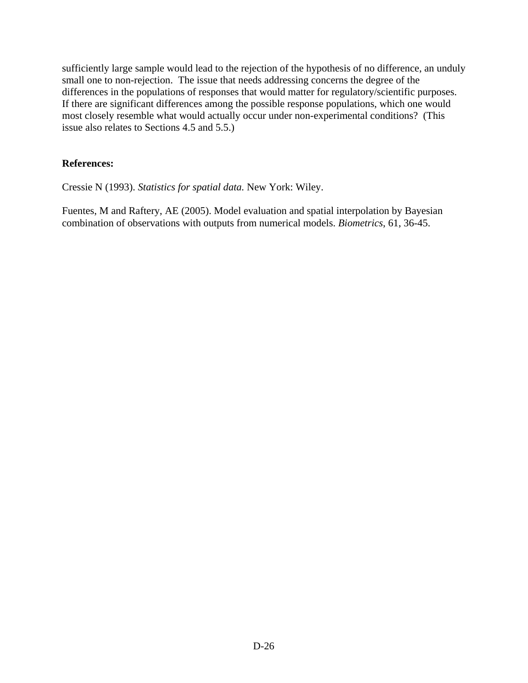sufficiently large sample would lead to the rejection of the hypothesis of no difference, an unduly small one to non-rejection. The issue that needs addressing concerns the degree of the differences in the populations of responses that would matter for regulatory/scientific purposes. If there are significant differences among the possible response populations, which one would most closely resemble what would actually occur under non-experimental conditions? (This issue also relates to Sections 4.5 and 5.5.)

# **References:**

Cressie N (1993). *Statistics for spatial data.* New York: Wiley.

Fuentes, M and Raftery, AE (2005). Model evaluation and spatial interpolation by Bayesian combination of observations with outputs from numerical models. *Biometrics*, 61, 36-45.